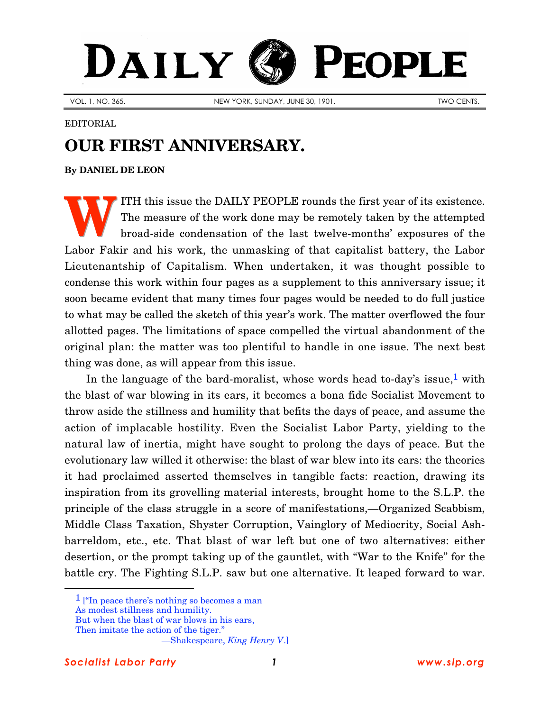## PEOPLE DAILY

VOL. 1, NO. 365. NEW YORK, SUNDAY, JUNE 30, 1901. NEW YORK, SUNDAY, JUNE 30, 1901.

## EDITORIAL

## **OUR FIRST ANNIVERSARY.**

**By [DANIEL DE LEON](http://www.slp.org/De_Leon.htm)**

ITH this issue the DAILY PEOPLE rounds the first year of its existence. The measure of the work done may be remotely taken by the attempted broad-side condensation of the last twelve-months' exposures of the Labor Fakir and his work, the unmasking of that capitalist battery, the Labor Lieutenantship of Capitalism. When undertaken, it was thought possible to condense this work within four pages as a supplement to this anniversary issue; it soon became evident that many times four pages would be needed to do full justice to what may be called the sketch of this year's work. The matter overflowed the four allotted pages. The limitations of space compelled the virtual abandonment of the original plan: the matter was too plentiful to handle in one issue. The next best thing was done, as will appear from this issue. **W**

In the language of the bard-moralist, whose words head to-day's issue,<sup>1</sup> with the blast of war blowing in its ears, it becomes a bona fide Socialist Movement to throw aside the stillness and humility that befits the days of peace, and assume the action of implacable hostility. Even the Socialist Labor Party, yielding to the natural law of inertia, might have sought to prolong the days of peace. But the evolutionary law willed it otherwise: the blast of war blew into its ears: the theories it had proclaimed asserted themselves in tangible facts: reaction, drawing its inspiration from its grovelling material interests, brought home to the S.L.P. the principle of the class struggle in a score of manifestations,—Organized Scabbism, Middle Class Taxation, Shyster Corruption, Vainglory of Mediocrity, Social Ashbarreldom, etc., etc. That blast of war left but one of two alternatives: either desertion, or the prompt taking up of the gauntlet, with "War to the Knife" for the battle cry. The Fighting S.L.P. saw but one alternative. It leaped forward to war.

But when the blast of war blows in his ears,

 $\overline{a}$ 

<sup>&</sup>lt;sup>1</sup> ["In peace there's nothing so becomes a man

As modest stillness and humility.

Then imitate the action of the tiger."

<sup>—</sup>Shakespeare, *King Henry V*.]